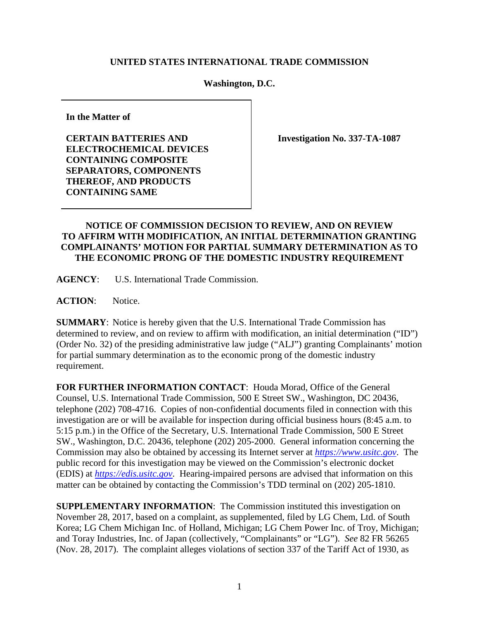## **UNITED STATES INTERNATIONAL TRADE COMMISSION**

## **Washington, D.C.**

**In the Matter of**

**CERTAIN BATTERIES AND ELECTROCHEMICAL DEVICES CONTAINING COMPOSITE SEPARATORS, COMPONENTS THEREOF, AND PRODUCTS CONTAINING SAME**

**Investigation No. 337-TA-1087**

## **NOTICE OF COMMISSION DECISION TO REVIEW, AND ON REVIEW TO AFFIRM WITH MODIFICATION, AN INITIAL DETERMINATION GRANTING COMPLAINANTS' MOTION FOR PARTIAL SUMMARY DETERMINATION AS TO THE ECONOMIC PRONG OF THE DOMESTIC INDUSTRY REQUIREMENT**

**AGENCY**: U.S. International Trade Commission.

**ACTION**: Notice.

**SUMMARY**: Notice is hereby given that the U.S. International Trade Commission has determined to review, and on review to affirm with modification, an initial determination ("ID") (Order No. 32) of the presiding administrative law judge ("ALJ") granting Complainants' motion for partial summary determination as to the economic prong of the domestic industry requirement.

**FOR FURTHER INFORMATION CONTACT**: Houda Morad, Office of the General Counsel, U.S. International Trade Commission, 500 E Street SW., Washington, DC 20436, telephone (202) 708-4716. Copies of non-confidential documents filed in connection with this investigation are or will be available for inspection during official business hours (8:45 a.m. to 5:15 p.m.) in the Office of the Secretary, U.S. International Trade Commission, 500 E Street SW., Washington, D.C. 20436, telephone (202) 205-2000. General information concerning the Commission may also be obtained by accessing its Internet server at *[https://www.usitc.gov](https://www.usitc.gov/)*. The public record for this investigation may be viewed on the Commission's electronic docket (EDIS) at *[https://edis.usitc.gov](http://edis.usitc.gov/)*. Hearing-impaired persons are advised that information on this matter can be obtained by contacting the Commission's TDD terminal on (202) 205-1810.

**SUPPLEMENTARY INFORMATION**: The Commission instituted this investigation on November 28, 2017, based on a complaint, as supplemented, filed by LG Chem, Ltd. of South Korea; LG Chem Michigan Inc. of Holland, Michigan; LG Chem Power Inc. of Troy, Michigan; and Toray Industries, Inc. of Japan (collectively, "Complainants" or "LG"). *See* 82 FR 56265 (Nov. 28, 2017). The complaint alleges violations of section 337 of the Tariff Act of 1930, as